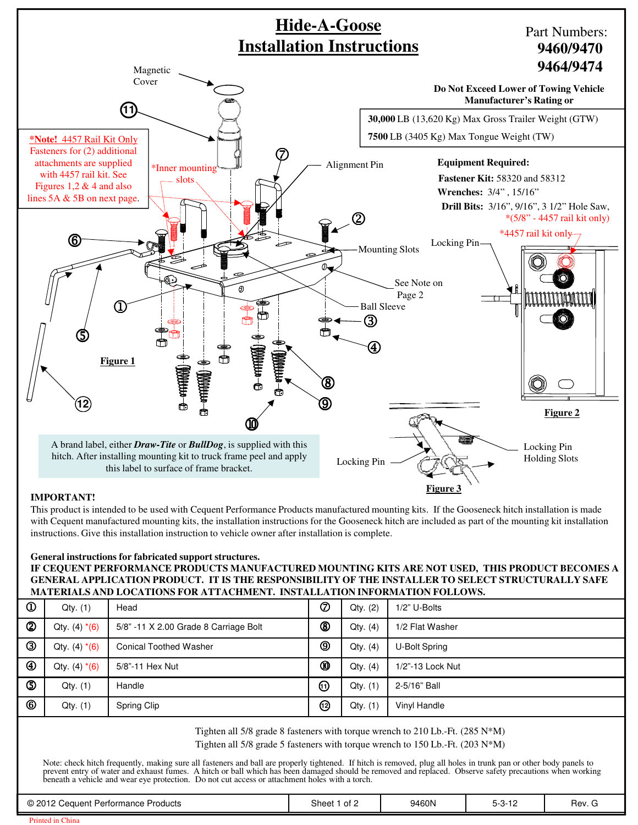

## **IMPORTANT!**

This product is intended to be used with Cequent Performance Products manufactured mounting kits. If the Gooseneck hitch installation is made with Cequent manufactured mounting kits, the installation instructions for the Gooseneck hitch are included as part of the mounting kit installation instructions. Give this installation instruction to vehicle owner after installation is complete.

## **General instructions for fabricated support structures. IF CEQUENT PERFORMANCE PRODUCTS MANUFACTURED MOUNTING KITS ARE NOT USED, THIS PRODUCT BECOMES A GENERAL APPLICATION PRODUCT. IT IS THE RESPONSIBILITY OF THE INSTALLER TO SELECT STRUCTURALLY SAFE MATERIALS AND LOCATIONS FOR ATTACHMENT. INSTALLATION INFORMATION FOLLOWS.**

| $^{\circ}$     | Qty. (1)         | Head                                  | $^\circledR$                | Qty. (2) | 1/2" U-Bolts     |
|----------------|------------------|---------------------------------------|-----------------------------|----------|------------------|
| $\circledB$    | Qty. $(4) * (6)$ | 5/8" -11 X 2.00 Grade 8 Carriage Bolt | $^{\circledR}$              | Qty. (4) | 1/2 Flat Washer  |
| ③              | Qty. $(4) * (6)$ | <b>Conical Toothed Washer</b>         | ℗                           | Qty. (4) | U-Bolt Spring    |
| ⊕              | Qty. $(4) * (6)$ | 5/8"-11 Hex Nut                       |                             | Qty. (4) | 1/2"-13 Lock Nut |
| $\circledS$    | Qty. (1)         | Handle                                | $^{\tiny{\textregistered}}$ | Qty. (1) | 2-5/16" Ball     |
| $^{\circledR}$ | Qty. (1)         | Spring Clip                           | ℗                           | Qty. (1) | Vinyl Handle     |
|                |                  |                                       |                             |          |                  |

Tighten all 5/8 grade 8 fasteners with torque wrench to 210 Lb.-Ft.  $(285 \text{ N*M})$ 

Tighten all 5/8 grade 5 fasteners with torque wrench to 150 Lb.-Ft. (203 N\*M)

Note: check hitch frequently, making sure all fasteners and ball are properly tightened. If hitch is removed, plug all holes in trunk pan or other body panels to prevent entry of water and exhaust fumes. A hitch or ball which has been damaged should be removed and replaced. Observe safety precautions when working beneath a vehicle and wear eye protection. Do not cut access or attachment holes with a torch.

| @2012<br>Cequent<br>t Pertormance Products | Sheet<br>ے of | 9460N | $\overline{a}$<br>$ \sim$<br>$5 - 3 - 12$ | Rev. G |
|--------------------------------------------|---------------|-------|-------------------------------------------|--------|
| Printed in China                           |               |       |                                           |        |